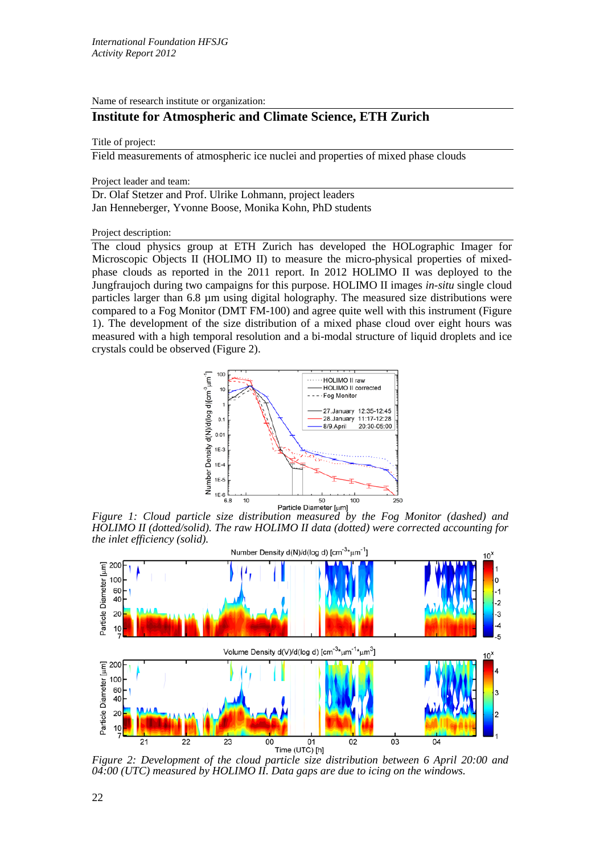Name of research institute or organization:

# **Institute for Atmospheric and Climate Science, ETH Zurich**

#### Title of project:

Field measurements of atmospheric ice nuclei and properties of mixed phase clouds

Project leader and team:

Dr. Olaf Stetzer and Prof. Ulrike Lohmann, project leaders Jan Henneberger, Yvonne Boose, Monika Kohn, PhD students

Project description:

The cloud physics group at ETH Zurich has developed the HOLographic Imager for Microscopic Objects II (HOLIMO II) to measure the micro-physical properties of mixedphase clouds as reported in the 2011 report. In 2012 HOLIMO II was deployed to the Jungfraujoch during two campaigns for this purpose. HOLIMO II images *in-situ* single cloud particles larger than 6.8 µm using digital holography. The measured size distributions were compared to a Fog Monitor (DMT FM-100) and agree quite well with this instrument (Figure 1). The development of the size distribution of a mixed phase cloud over eight hours was measured with a high temporal resolution and a bi-modal structure of liquid droplets and ice crystals could be observed (Figure 2).



*Figure 1: Cloud particle size distribution measured by the Fog Monitor (dashed) and HOLIMO II (dotted/solid). The raw HOLIMO II data (dotted) were corrected accounting for the inlet efficiency (solid).* 



*Figure 2: Development of the cloud particle size distribution between 6 April 20:00 and 04:00 (UTC) measured by HOLIMO II. Data gaps are due to icing on the windows.*